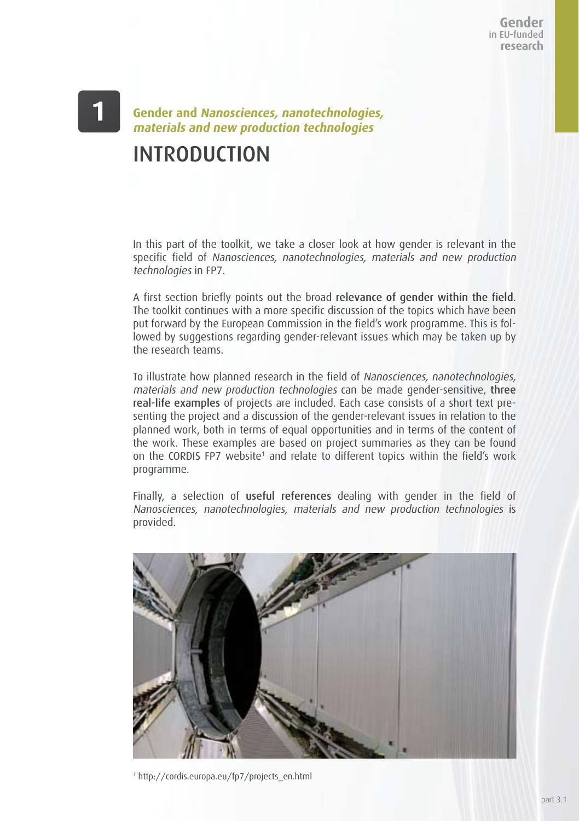Gender in FU-funded research

## **Gender and Nanosciences, nanotechnologies, materials and new production technologies** INTRODUCTION

In this part of the toolkit, we take a closer look at how gender is relevant in the specific field of Nanosciences, nanotechnologies, materials and new production technologies in FP7.

A first section briefly points out the broad relevance of gender within the field. The toolkit continues with a more specific discussion of the topics which have been put forward by the European Commission in the field's work programme. This is followed by suggestions regarding gender-relevant issues which may be taken up by the research teams.

To illustrate how planned research in the field of Nanosciences, nanotechnologies, materials and new production technologies can be made gender-sensitive, three real-life examples of projects are included. Each case consists of a short text presenting the project and a discussion of the gender-relevant issues in relation to the planned work, both in terms of equal opportunities and in terms of the content of the work. These examples are based on project summaries as they can be found on the CORDIS FP7 website<sup>1</sup> and relate to different topics within the field's work programme.

Finally, a selection of useful references dealing with gender in the field of Nanosciences, nanotechnologies, materials and new production technologies is provided.



1 http://cordis.europa.eu/fp7/projects\_en.html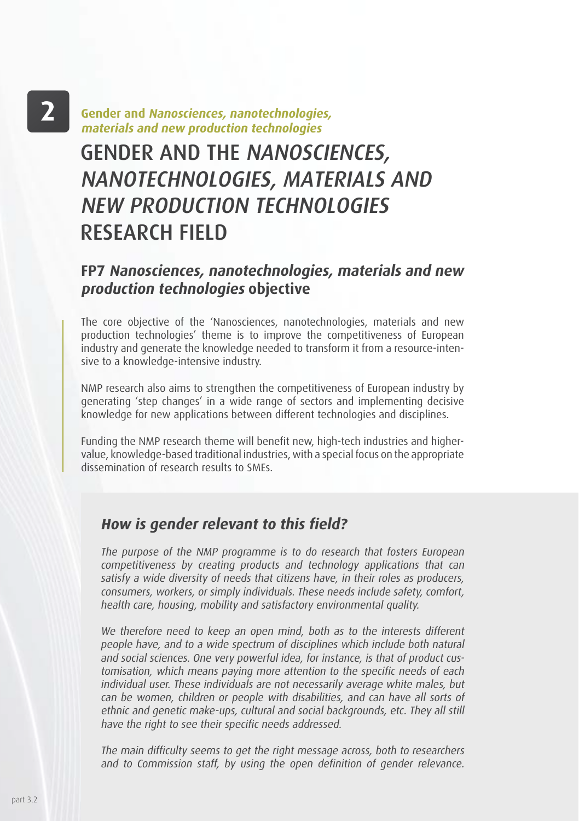# $\mathbf{2}$

**Gender and Nanosciences, nanotechnologies, materials and new production technologies**

# GENDER AND THE NANOSCIENCES, NANOTECHNOLOGIES, MATERIALS AND NEW PRODUCTION TECHNOLOGIES RESEARCH FIELD

## **FP7 Nanosciences, nanotechnologies, materials and new production technologies objective**

The core objective of the 'Nanosciences, nanotechnologies, materials and new production technologies' theme is to improve the competitiveness of European industry and generate the knowledge needed to transform it from a resource-intensive to a knowledge-intensive industry.

NMP research also aims to strengthen the competitiveness of European industry by generating 'step changes' in a wide range of sectors and implementing decisive knowledge for new applications between different technologies and disciplines.

Funding the NMP research theme will benefit new, high-tech industries and highervalue, knowledge-based traditional industries, with a special focus on the appropriate dissemination of research results to SMEs.

### **How is gender relevant to this field?**

The purpose of the NMP programme is to do research that fosters European competitiveness by creating products and technology applications that can satisfy a wide diversity of needs that citizens have, in their roles as producers, consumers, workers, or simply individuals. These needs include safety, comfort, health care, housing, mobility and satisfactory environmental quality.

We therefore need to keep an open mind, both as to the interests different people have, and to a wide spectrum of disciplines which include both natural and social sciences. One very powerful idea, for instance, is that of product customisation, which means paying more attention to the specific needs of each individual user. These individuals are not necessarily average white males, but can be women, children or people with disabilities, and can have all sorts of ethnic and genetic make-ups, cultural and social backgrounds, etc. They all still have the right to see their specific needs addressed.

The main difficulty seems to get the right message across, both to researchers and to Commission staff, by using the open definition of gender relevance.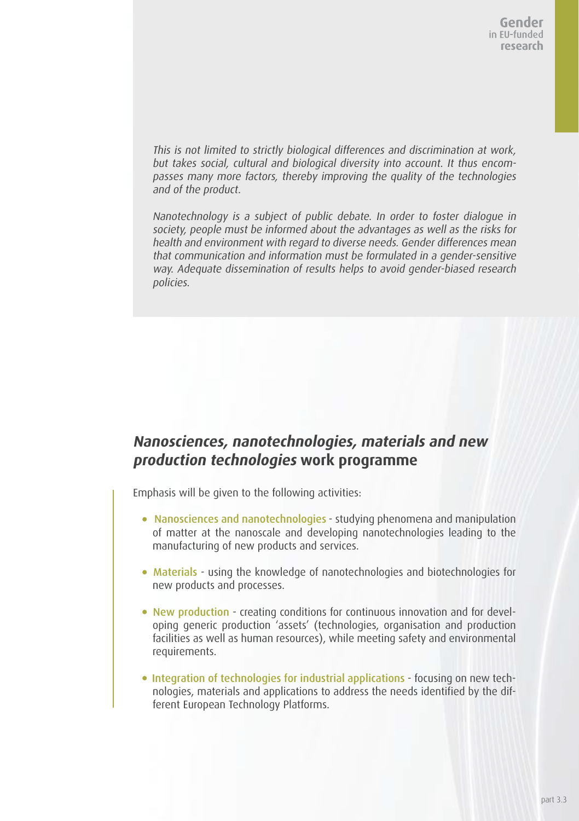This is not limited to strictly biological differences and discrimination at work, but takes social, cultural and biological diversity into account. It thus encompasses many more factors, thereby improving the quality of the technologies and of the product.

Nanotechnology is a subject of public debate. In order to foster dialogue in society, people must be informed about the advantages as well as the risks for health and environment with regard to diverse needs. Gender differences mean that communication and information must be formulated in a gender-sensitive way. Adequate dissemination of results helps to avoid gender-biased research policies.

## **Nanosciences, nanotechnologies, materials and new production technologies work programme**

Emphasis will be given to the following activities:

- Nanosciences and nanotechnologies studying phenomena and manipulation of matter at the nanoscale and developing nanotechnologies leading to the manufacturing of new products and services.
- Materials using the knowledge of nanotechnologies and biotechnologies for new products and processes.
- New production creating conditions for continuous innovation and for developing generic production 'assets' (technologies, organisation and production facilities as well as human resources), while meeting safety and environmental requirements.
- Integration of technologies for industrial applications focusing on new technologies, materials and applications to address the needs identified by the different European Technology Platforms.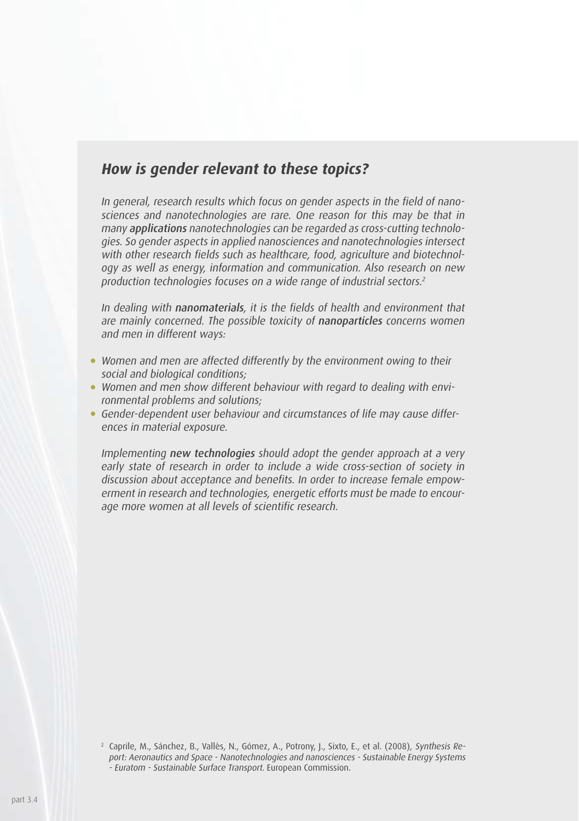## **How is gender relevant to these topics?**

In general, research results which focus on gender aspects in the field of nanosciences and nanotechnologies are rare. One reason for this may be that in many applications nanotechnologies can be regarded as cross-cutting technologies. So gender aspects in applied nanosciences and nanotechnologies intersect with other research fields such as healthcare, food, agriculture and biotechnology as well as energy, information and communication. Also research on new production technologies focuses on a wide range of industrial sectors.<sup>2</sup>

In dealing with nanomaterials, it is the fields of health and environment that are mainly concerned. The possible toxicity of nanoparticles concerns women and men in different ways:

- Women and men are affected differently by the environment owing to their social and biological conditions;
- Women and men show different behaviour with regard to dealing with environmental problems and solutions;
- Gender-dependent user behaviour and circumstances of life may cause differences in material exposure.

Implementing new technologies should adopt the gender approach at a very early state of research in order to include a wide cross-section of society in discussion about acceptance and benefits. In order to increase female empowerment in research and technologies, energetic efforts must be made to encourage more women at all levels of scientific research.

<sup>2</sup> Caprile, M., Sánchez, B., Vallès, N., Gómez, A., Potrony, J., Sixto, E., et al. (2008), Synthesis Report: Aeronautics and Space - Nanotechnologies and nanosciences - Sustainable Energy Systems - Euratom - Sustainable Surface Transport. European Commission.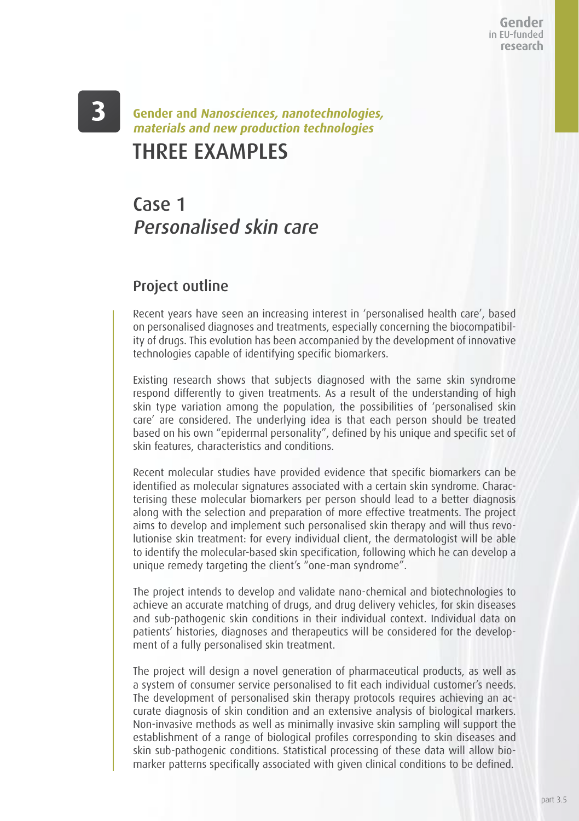Gender in EU-funded research

## THREE EXAMPLES **Gender and Nanosciences, nanotechnologies, materials and new production technologies**

## Case 1 Personalised skin care

### Project outline

Recent years have seen an increasing interest in 'personalised health care', based on personalised diagnoses and treatments, especially concerning the biocompatibility of drugs. This evolution has been accompanied by the development of innovative technologies capable of identifying specific biomarkers.

Existing research shows that subjects diagnosed with the same skin syndrome respond differently to given treatments. As a result of the understanding of high skin type variation among the population, the possibilities of 'personalised skin care' are considered. The underlying idea is that each person should be treated based on his own "epidermal personality", defined by his unique and specific set of skin features, characteristics and conditions.

Recent molecular studies have provided evidence that specific biomarkers can be identified as molecular signatures associated with a certain skin syndrome. Characterising these molecular biomarkers per person should lead to a better diagnosis along with the selection and preparation of more effective treatments. The project aims to develop and implement such personalised skin therapy and will thus revolutionise skin treatment: for every individual client, the dermatologist will be able to identify the molecular-based skin specification, following which he can develop a unique remedy targeting the client's "one-man syndrome".

The project intends to develop and validate nano-chemical and biotechnologies to achieve an accurate matching of drugs, and drug delivery vehicles, for skin diseases and sub-pathogenic skin conditions in their individual context. Individual data on patients' histories, diagnoses and therapeutics will be considered for the development of a fully personalised skin treatment.

The project will design a novel generation of pharmaceutical products, as well as a system of consumer service personalised to fit each individual customer's needs. The development of personalised skin therapy protocols requires achieving an accurate diagnosis of skin condition and an extensive analysis of biological markers. Non-invasive methods as well as minimally invasive skin sampling will support the establishment of a range of biological profiles corresponding to skin diseases and skin sub-pathogenic conditions. Statistical processing of these data will allow biomarker patterns specifically associated with given clinical conditions to be defined.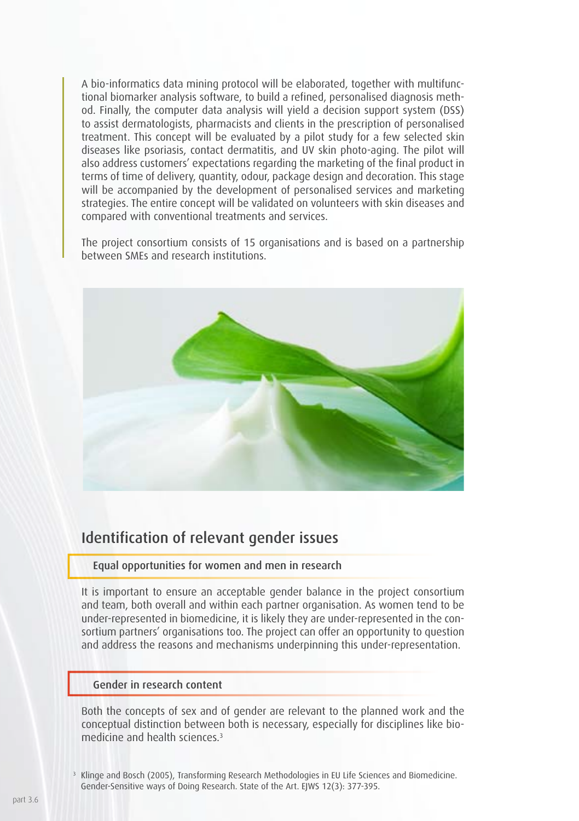A bio-informatics data mining protocol will be elaborated, together with multifunctional biomarker analysis software, to build a refined, personalised diagnosis method. Finally, the computer data analysis will yield a decision support system (DSS) to assist dermatologists, pharmacists and clients in the prescription of personalised treatment. This concept will be evaluated by a pilot study for a few selected skin diseases like psoriasis, contact dermatitis, and UV skin photo-aging. The pilot will also address customers' expectations regarding the marketing of the final product in terms of time of delivery, quantity, odour, package design and decoration. This stage will be accompanied by the development of personalised services and marketing strategies. The entire concept will be validated on volunteers with skin diseases and compared with conventional treatments and services.

The project consortium consists of 15 organisations and is based on a partnership between SMEs and research institutions.



### Identification of relevant gender issues

### Equal opportunities for women and men in research

It is important to ensure an acceptable gender balance in the project consortium and team, both overall and within each partner organisation. As women tend to be under-represented in biomedicine, it is likely they are under-represented in the consortium partners' organisations too. The project can offer an opportunity to question and address the reasons and mechanisms underpinning this under-representation.

#### Gender in research content

Both the concepts of sex and of gender are relevant to the planned work and the conceptual distinction between both is necessary, especially for disciplines like biomedicine and health sciences<sup>3</sup>

3

Klinge and Bosch (2005), Transforming Research Methodologies in EU Life Sciences and Biomedicine. Gender-Sensitive ways of Doing Research. State of the Art. EIWS 12(3): 377-395.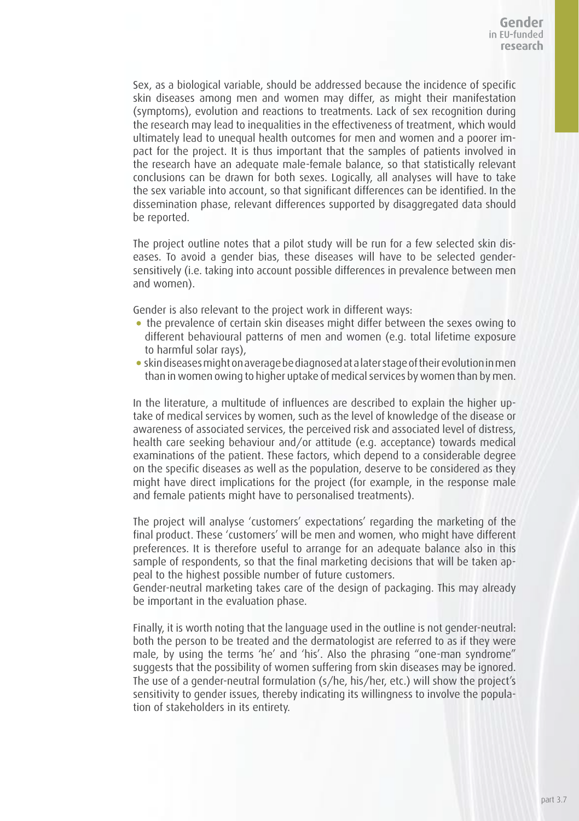Sex, as a biological variable, should be addressed because the incidence of specific skin diseases among men and women may differ, as might their manifestation (symptoms), evolution and reactions to treatments. Lack of sex recognition during the research may lead to inequalities in the effectiveness of treatment, which would ultimately lead to unequal health outcomes for men and women and a poorer impact for the project. It is thus important that the samples of patients involved in the research have an adequate male-female balance, so that statistically relevant conclusions can be drawn for both sexes. Logically, all analyses will have to take the sex variable into account, so that significant differences can be identified. In the dissemination phase, relevant differences supported by disaggregated data should be reported.

The project outline notes that a pilot study will be run for a few selected skin diseases. To avoid a gender bias, these diseases will have to be selected gendersensitively (i.e. taking into account possible differences in prevalence between men and women).

Gender is also relevant to the project work in different ways:

- the prevalence of certain skin diseases might differ between the sexes owing to different behavioural patterns of men and women (e.g. total lifetime exposure to harmful solar rays),
- skin diseases might on average be diagnosed at a later stage of their evolution in men than in women owing to higher uptake of medical services by women than by men.

In the literature, a multitude of influences are described to explain the higher uptake of medical services by women, such as the level of knowledge of the disease or awareness of associated services, the perceived risk and associated level of distress, health care seeking behaviour and/or attitude (e.g. acceptance) towards medical examinations of the patient. These factors, which depend to a considerable degree on the specific diseases as well as the population, deserve to be considered as they might have direct implications for the project (for example, in the response male and female patients might have to personalised treatments).

The project will analyse 'customers' expectations' regarding the marketing of the final product. These 'customers' will be men and women, who might have different preferences. It is therefore useful to arrange for an adequate balance also in this sample of respondents, so that the final marketing decisions that will be taken appeal to the highest possible number of future customers.

Gender-neutral marketing takes care of the design of packaging. This may already be important in the evaluation phase.

Finally, it is worth noting that the language used in the outline is not gender-neutral: both the person to be treated and the dermatologist are referred to as if they were male, by using the terms 'he' and 'his'. Also the phrasing "one-man syndrome" suggests that the possibility of women suffering from skin diseases may be ignored. The use of a gender-neutral formulation (s/he, his/her, etc.) will show the project's sensitivity to gender issues, thereby indicating its willingness to involve the population of stakeholders in its entirety.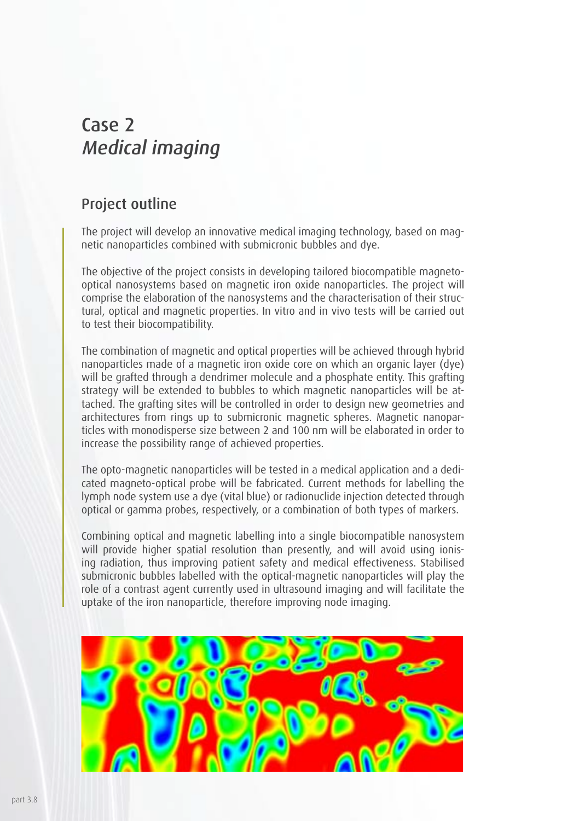## Case 2 Medical imaging

## Project outline

The project will develop an innovative medical imaging technology, based on magnetic nanoparticles combined with submicronic bubbles and dye.

The objective of the project consists in developing tailored biocompatible magnetooptical nanosystems based on magnetic iron oxide nanoparticles. The project will comprise the elaboration of the nanosystems and the characterisation of their structural, optical and magnetic properties. In vitro and in vivo tests will be carried out to test their biocompatibility.

The combination of magnetic and optical properties will be achieved through hybrid nanoparticles made of a magnetic iron oxide core on which an organic layer (dye) will be grafted through a dendrimer molecule and a phosphate entity. This grafting strategy will be extended to bubbles to which magnetic nanoparticles will be attached. The grafting sites will be controlled in order to design new geometries and architectures from rings up to submicronic magnetic spheres. Magnetic nanoparticles with monodisperse size between 2 and 100 nm will be elaborated in order to increase the possibility range of achieved properties.

The opto-magnetic nanoparticles will be tested in a medical application and a dedicated magneto-optical probe will be fabricated. Current methods for labelling the lymph node system use a dye (vital blue) or radionuclide injection detected through optical or gamma probes, respectively, or a combination of both types of markers.

Combining optical and magnetic labelling into a single biocompatible nanosystem will provide higher spatial resolution than presently, and will avoid using ionising radiation, thus improving patient safety and medical effectiveness. Stabilised submicronic bubbles labelled with the optical-magnetic nanoparticles will play the role of a contrast agent currently used in ultrasound imaging and will facilitate the uptake of the iron nanoparticle, therefore improving node imaging.

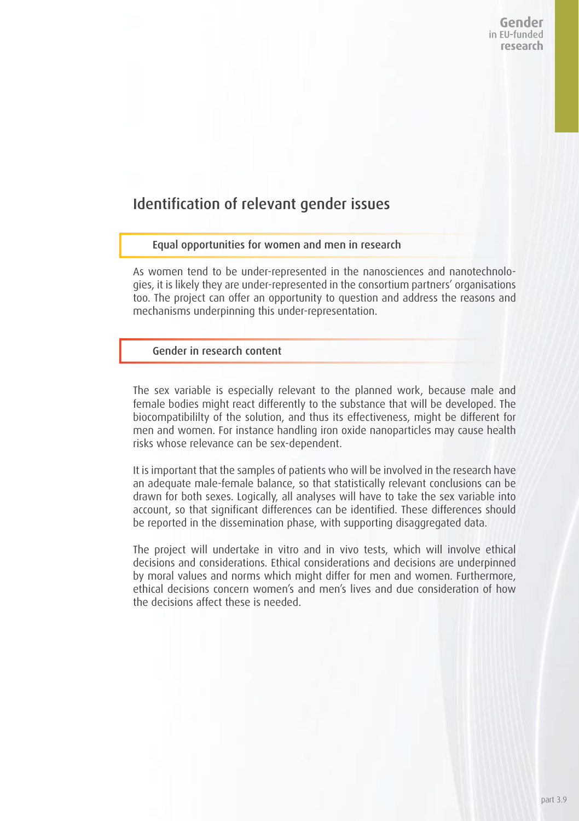## Identification of relevant gender issues

#### Equal opportunities for women and men in research

As women tend to be under-represented in the nanosciences and nanotechnologies, it is likely they are under-represented in the consortium partners' organisations too. The project can offer an opportunity to question and address the reasons and mechanisms underpinning this under-representation.

### Gender in research content

The sex variable is especially relevant to the planned work, because male and female bodies might react differently to the substance that will be developed. The biocompatibililty of the solution, and thus its effectiveness, might be different for men and women. For instance handling iron oxide nanoparticles may cause health risks whose relevance can be sex-dependent.

It is important that the samples of patients who will be involved in the research have an adequate male-female balance, so that statistically relevant conclusions can be drawn for both sexes. Logically, all analyses will have to take the sex variable into account, so that significant differences can be identified. These differences should be reported in the dissemination phase, with supporting disaggregated data.

The project will undertake in vitro and in vivo tests, which will involve ethical decisions and considerations. Ethical considerations and decisions are underpinned by moral values and norms which might differ for men and women. Furthermore, ethical decisions concern women's and men's lives and due consideration of how the decisions affect these is needed.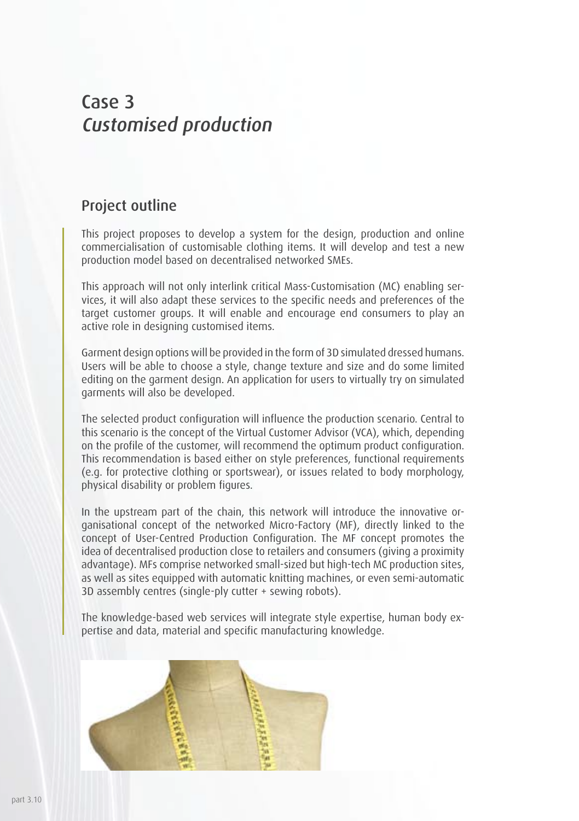## Case 3 Customised production

## Project outline

This project proposes to develop a system for the design, production and online commercialisation of customisable clothing items. It will develop and test a new production model based on decentralised networked SMEs.

This approach will not only interlink critical Mass-Customisation (MC) enabling services, it will also adapt these services to the specific needs and preferences of the target customer groups. It will enable and encourage end consumers to play an active role in designing customised items.

Garment design options will be provided in the form of 3D simulated dressed humans. Users will be able to choose a style, change texture and size and do some limited editing on the garment design. An application for users to virtually try on simulated garments will also be developed.

The selected product configuration will influence the production scenario. Central to this scenario is the concept of the Virtual Customer Advisor (VCA), which, depending on the profile of the customer, will recommend the optimum product configuration. This recommendation is based either on style preferences, functional requirements (e.g. for protective clothing or sportswear), or issues related to body morphology, physical disability or problem figures.

In the upstream part of the chain, this network will introduce the innovative organisational concept of the networked Micro-Factory (MF), directly linked to the concept of User-Centred Production Configuration. The MF concept promotes the idea of decentralised production close to retailers and consumers (giving a proximity advantage). MFs comprise networked small-sized but high-tech MC production sites, as well as sites equipped with automatic knitting machines, or even semi-automatic 3D assembly centres (single-ply cutter + sewing robots).

The knowledge-based web services will integrate style expertise, human body expertise and data, material and specific manufacturing knowledge.

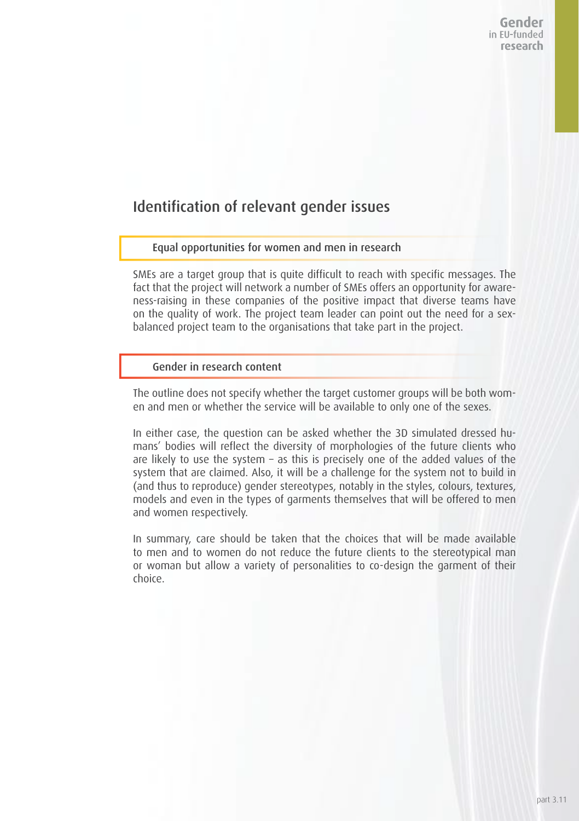## Identification of relevant gender issues

### Equal opportunities for women and men in research

SMEs are a target group that is quite difficult to reach with specific messages. The fact that the project will network a number of SMEs offers an opportunity for awareness-raising in these companies of the positive impact that diverse teams have on the quality of work. The project team leader can point out the need for a sexbalanced project team to the organisations that take part in the project.

#### Gender in research content

The outline does not specify whether the target customer groups will be both women and men or whether the service will be available to only one of the sexes.

In either case, the question can be asked whether the 3D simulated dressed humans' bodies will reflect the diversity of morphologies of the future clients who are likely to use the system – as this is precisely one of the added values of the system that are claimed. Also, it will be a challenge for the system not to build in (and thus to reproduce) gender stereotypes, notably in the styles, colours, textures, models and even in the types of garments themselves that will be offered to men and women respectively.

In summary, care should be taken that the choices that will be made available to men and to women do not reduce the future clients to the stereotypical man or woman but allow a variety of personalities to co-design the garment of their choice.